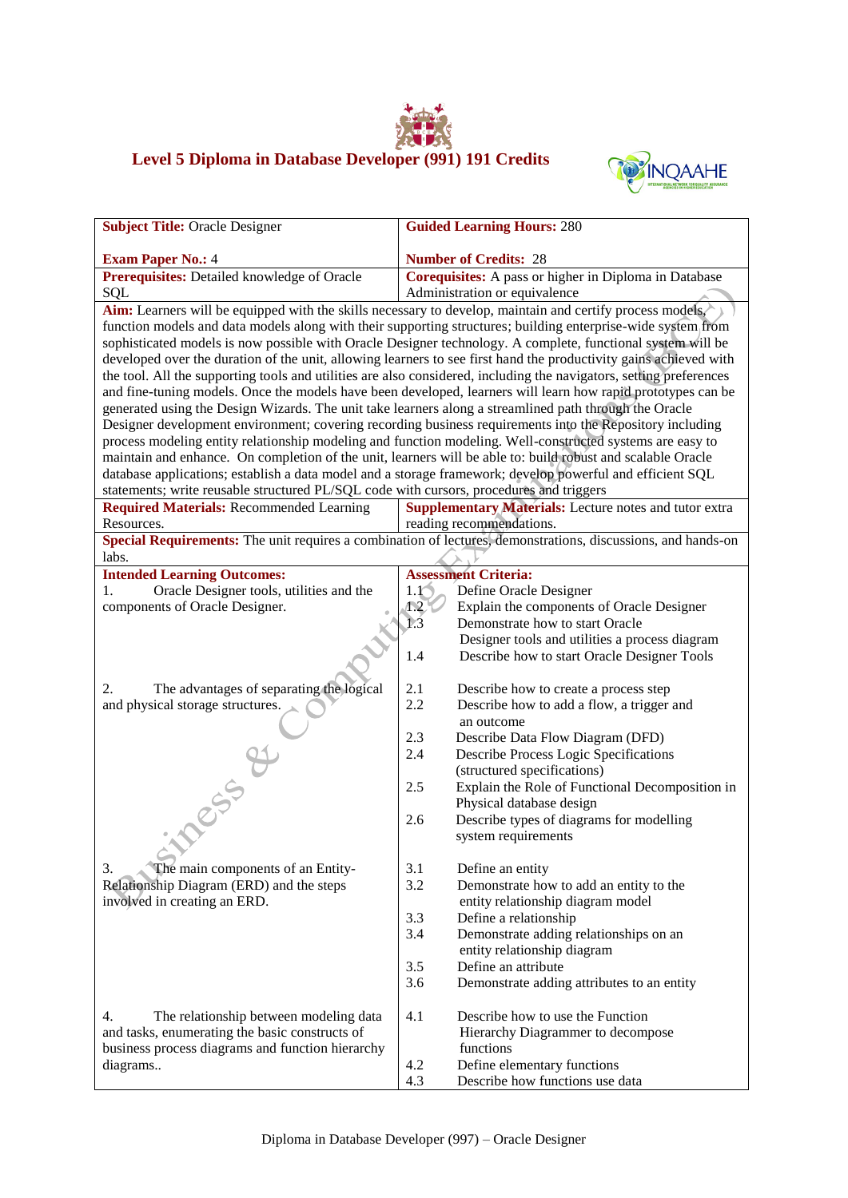## **Level 5 Diploma in Database Developer (991) 191 Credits**



| <b>Subject Title: Oracle Designer</b>                                                                                                                                                                                            | <b>Guided Learning Hours: 280</b>                                                                                   |  |  |  |
|----------------------------------------------------------------------------------------------------------------------------------------------------------------------------------------------------------------------------------|---------------------------------------------------------------------------------------------------------------------|--|--|--|
|                                                                                                                                                                                                                                  |                                                                                                                     |  |  |  |
| <b>Exam Paper No.: 4</b>                                                                                                                                                                                                         | <b>Number of Credits: 28</b>                                                                                        |  |  |  |
| Prerequisites: Detailed knowledge of Oracle                                                                                                                                                                                      | Corequisites: A pass or higher in Diploma in Database                                                               |  |  |  |
| Administration or equivalence<br>SQL                                                                                                                                                                                             |                                                                                                                     |  |  |  |
| Aim: Learners will be equipped with the skills necessary to develop, maintain and certify process models,<br>function models and data models along with their supporting structures; building enterprise-wide system from        |                                                                                                                     |  |  |  |
|                                                                                                                                                                                                                                  |                                                                                                                     |  |  |  |
| sophisticated models is now possible with Oracle Designer technology. A complete, functional system will be<br>developed over the duration of the unit, allowing learners to see first hand the productivity gains achieved with |                                                                                                                     |  |  |  |
|                                                                                                                                                                                                                                  | the tool. All the supporting tools and utilities are also considered, including the navigators, setting preferences |  |  |  |
| and fine-tuning models. Once the models have been developed, learners will learn how rapid prototypes can be                                                                                                                     |                                                                                                                     |  |  |  |
| generated using the Design Wizards. The unit take learners along a streamlined path through the Oracle                                                                                                                           |                                                                                                                     |  |  |  |
|                                                                                                                                                                                                                                  | Designer development environment; covering recording business requirements into the Repository including            |  |  |  |
|                                                                                                                                                                                                                                  | process modeling entity relationship modeling and function modeling. Well-constructed systems are easy to           |  |  |  |
|                                                                                                                                                                                                                                  | maintain and enhance. On completion of the unit, learners will be able to: build robust and scalable Oracle         |  |  |  |
|                                                                                                                                                                                                                                  | database applications; establish a data model and a storage framework; develop powerful and efficient SQL           |  |  |  |
| statements; write reusable structured PL/SQL code with cursors, procedures and triggers                                                                                                                                          |                                                                                                                     |  |  |  |
| <b>Required Materials: Recommended Learning</b>                                                                                                                                                                                  | <b>Supplementary Materials:</b> Lecture notes and tutor extra                                                       |  |  |  |
| Resources.                                                                                                                                                                                                                       | reading recommendations.                                                                                            |  |  |  |
| labs.                                                                                                                                                                                                                            | Special Requirements: The unit requires a combination of lectures, demonstrations, discussions, and hands-on        |  |  |  |
| <b>Intended Learning Outcomes:</b>                                                                                                                                                                                               | <b>Assessment Criteria:</b>                                                                                         |  |  |  |
| Oracle Designer tools, utilities and the<br>1.                                                                                                                                                                                   | Define Oracle Designer<br>1.1                                                                                       |  |  |  |
| components of Oracle Designer.                                                                                                                                                                                                   | Explain the components of Oracle Designer<br>$\Lambda$ .2                                                           |  |  |  |
|                                                                                                                                                                                                                                  | 1.3<br>Demonstrate how to start Oracle                                                                              |  |  |  |
|                                                                                                                                                                                                                                  | Designer tools and utilities a process diagram                                                                      |  |  |  |
|                                                                                                                                                                                                                                  | 1.4<br>Describe how to start Oracle Designer Tools                                                                  |  |  |  |
| The advantages of separating the logical<br>2.                                                                                                                                                                                   | 2.1<br>Describe how to create a process step                                                                        |  |  |  |
| and physical storage structures.                                                                                                                                                                                                 | 2.2<br>Describe how to add a flow, a trigger and                                                                    |  |  |  |
|                                                                                                                                                                                                                                  | an outcome                                                                                                          |  |  |  |
|                                                                                                                                                                                                                                  | 2.3<br>Describe Data Flow Diagram (DFD)                                                                             |  |  |  |
|                                                                                                                                                                                                                                  | 2.4<br>Describe Process Logic Specifications                                                                        |  |  |  |
|                                                                                                                                                                                                                                  | (structured specifications)                                                                                         |  |  |  |
|                                                                                                                                                                                                                                  | 2.5<br>Explain the Role of Functional Decomposition in                                                              |  |  |  |
|                                                                                                                                                                                                                                  | Physical database design                                                                                            |  |  |  |
|                                                                                                                                                                                                                                  | Describe types of diagrams for modelling<br>2.6                                                                     |  |  |  |
| <b>INDESS &amp;</b>                                                                                                                                                                                                              | system requirements                                                                                                 |  |  |  |
| The main components of an Entity-<br>3.                                                                                                                                                                                          | 3.1<br>Define an entity                                                                                             |  |  |  |
| Relationship Diagram (ERD) and the steps                                                                                                                                                                                         | 3.2<br>Demonstrate how to add an entity to the                                                                      |  |  |  |
| involved in creating an ERD.                                                                                                                                                                                                     | entity relationship diagram model                                                                                   |  |  |  |
|                                                                                                                                                                                                                                  | 3.3<br>Define a relationship                                                                                        |  |  |  |
|                                                                                                                                                                                                                                  | Demonstrate adding relationships on an<br>3.4                                                                       |  |  |  |
|                                                                                                                                                                                                                                  | entity relationship diagram                                                                                         |  |  |  |
|                                                                                                                                                                                                                                  | Define an attribute<br>3.5                                                                                          |  |  |  |
|                                                                                                                                                                                                                                  | 3.6<br>Demonstrate adding attributes to an entity                                                                   |  |  |  |
| 4.                                                                                                                                                                                                                               | 4.1<br>Describe how to use the Function                                                                             |  |  |  |
| The relationship between modeling data<br>and tasks, enumerating the basic constructs of                                                                                                                                         | Hierarchy Diagrammer to decompose                                                                                   |  |  |  |
| business process diagrams and function hierarchy                                                                                                                                                                                 | functions                                                                                                           |  |  |  |
| diagrams                                                                                                                                                                                                                         | 4.2<br>Define elementary functions                                                                                  |  |  |  |
|                                                                                                                                                                                                                                  | 4.3<br>Describe how functions use data                                                                              |  |  |  |